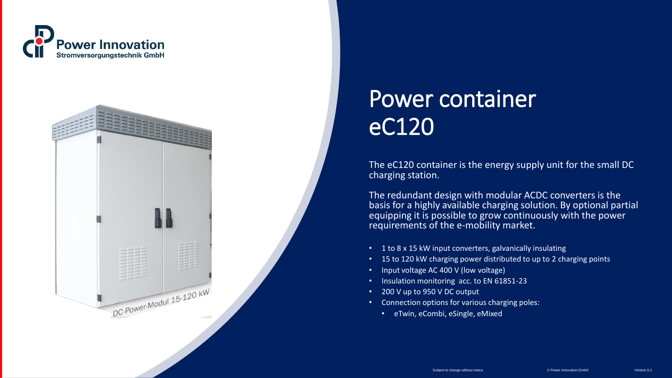



## Power container eC120

The eC120 container is the energy supply unit for the small DC charging station.

The redundant design with modular ACDC converters is the basis for a highly available charging solution. By optional partial equipping it is possible to grow continuously with the power requirements of the e-mobility market.

- 1 to 8 x 15 kW input converters, galvanically insulating
- 15 to 120 kW charging power distributed to up to 2 charging points
- Input voltage AC 400 V (low voltage)
- Insulation monitoring acc. to EN 61851-23
- 200 V up to 950 V DC output
- Connection options for various charging poles:
	- eTwin, eCombi, eSingle, eMixed